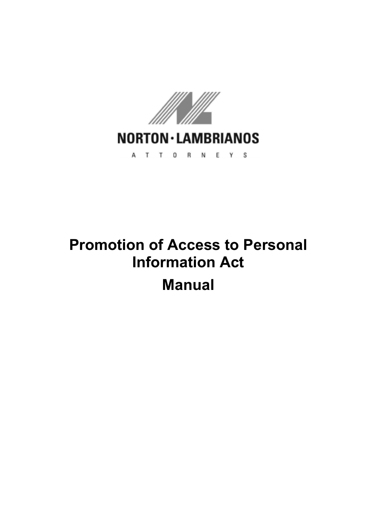

# **Promotion of Access to Personal Information Act Manual**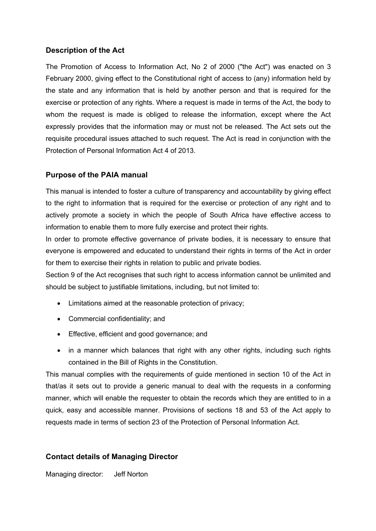### **Description of the Act**

The Promotion of Access to Information Act, No 2 of 2000 ("the Act") was enacted on 3 February 2000, giving effect to the Constitutional right of access to (any) information held by the state and any information that is held by another person and that is required for the exercise or protection of any rights. Where a request is made in terms of the Act, the body to whom the request is made is obliged to release the information, except where the Act expressly provides that the information may or must not be released. The Act sets out the requisite procedural issues attached to such request. The Act is read in conjunction with the Protection of Personal Information Act 4 of 2013.

#### **Purpose of the PAIA manual**

This manual is intended to foster a culture of transparency and accountability by giving effect to the right to information that is required for the exercise or protection of any right and to actively promote a society in which the people of South Africa have effective access to information to enable them to more fully exercise and protect their rights.

In order to promote effective governance of private bodies, it is necessary to ensure that everyone is empowered and educated to understand their rights in terms of the Act in order for them to exercise their rights in relation to public and private bodies.

Section 9 of the Act recognises that such right to access information cannot be unlimited and should be subject to justifiable limitations, including, but not limited to:

- Limitations aimed at the reasonable protection of privacy;
- Commercial confidentiality; and
- Effective, efficient and good governance; and
- in a manner which balances that right with any other rights, including such rights contained in the Bill of Rights in the Constitution.

This manual complies with the requirements of guide mentioned in section 10 of the Act in that/as it sets out to provide a generic manual to deal with the requests in a conforming manner, which will enable the requester to obtain the records which they are entitled to in a quick, easy and accessible manner. Provisions of sections 18 and 53 of the Act apply to requests made in terms of section 23 of the Protection of Personal Information Act.

### **Contact details of Managing Director**

Managing director: Jeff Norton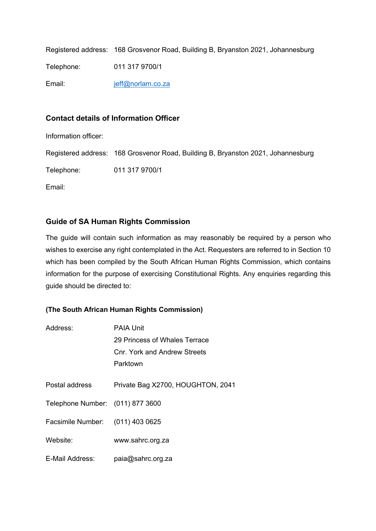Registered address: 168 Grosvenor Road, Building B, Bryanston 2021, Johannesburg Telephone: 011 317 9700/1 Email: jeff@norlam.co.za

#### **Contact details of Information Officer**

Information officer:

Registered address: 168 Grosvenor Road, Building B, Bryanston 2021, Johannesburg

Telephone: 011 317 9700/1

Email:

### **Guide of SA Human Rights Commission**

The guide will contain such information as may reasonably be required by a person who wishes to exercise any right contemplated in the Act. Requesters are referred to in Section 10 which has been compiled by the South African Human Rights Commission, which contains information for the purpose of exercising Constitutional Rights. Any enquiries regarding this guide should be directed to:

#### **(The South African Human Rights Commission)**

| Address:                         | PAIA Unit                         |
|----------------------------------|-----------------------------------|
|                                  | 29 Princess of Whales Terrace     |
|                                  | Cnr. York and Andrew Streets      |
|                                  | Parktown                          |
|                                  |                                   |
| Postal address                   | Private Bag X2700, HOUGHTON, 2041 |
| Telephone Number: (011) 877 3600 |                                   |
| Facsimile Number: (011) 403 0625 |                                   |
| Website:                         | www.sahrc.org.za                  |
| E-Mail Address:                  | paia@sahrc.org.za                 |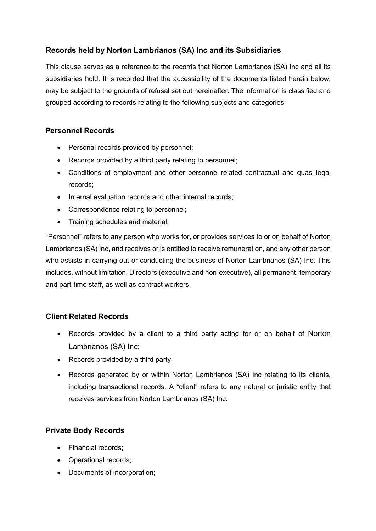# **Records held by Norton Lambrianos (SA) Inc and its Subsidiaries**

This clause serves as a reference to the records that Norton Lambrianos (SA) Inc and all its subsidiaries hold. It is recorded that the accessibility of the documents listed herein below, may be subject to the grounds of refusal set out hereinafter. The information is classified and grouped according to records relating to the following subjects and categories:

# **Personnel Records**

- Personal records provided by personnel;
- Records provided by a third party relating to personnel;
- Conditions of employment and other personnel-related contractual and quasi-legal records;
- Internal evaluation records and other internal records;
- Correspondence relating to personnel;
- Training schedules and material;

"Personnel" refers to any person who works for, or provides services to or on behalf of Norton Lambrianos (SA) Inc, and receives or is entitled to receive remuneration, and any other person who assists in carrying out or conducting the business of Norton Lambrianos (SA) Inc. This includes, without limitation, Directors (executive and non-executive), all permanent, temporary and part-time staff, as well as contract workers.

# **Client Related Records**

- Records provided by a client to a third party acting for or on behalf of Norton Lambrianos (SA) Inc;
- Records provided by a third party;
- Records generated by or within Norton Lambrianos (SA) Inc relating to its clients, including transactional records. A "client" refers to any natural or juristic entity that receives services from Norton Lambrianos (SA) Inc.

# **Private Body Records**

- Financial records;
- Operational records;
- Documents of incorporation;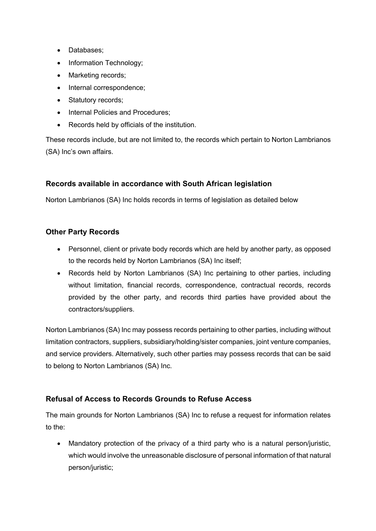- Databases;
- Information Technology;
- Marketing records;
- Internal correspondence:
- Statutory records;
- Internal Policies and Procedures;
- Records held by officials of the institution.

These records include, but are not limited to, the records which pertain to Norton Lambrianos (SA) Inc's own affairs.

# **Records available in accordance with South African legislation**

Norton Lambrianos (SA) Inc holds records in terms of legislation as detailed below

### **Other Party Records**

- Personnel, client or private body records which are held by another party, as opposed to the records held by Norton Lambrianos (SA) Inc itself;
- Records held by Norton Lambrianos (SA) Inc pertaining to other parties, including without limitation, financial records, correspondence, contractual records, records provided by the other party, and records third parties have provided about the contractors/suppliers.

Norton Lambrianos (SA) Inc may possess records pertaining to other parties, including without limitation contractors, suppliers, subsidiary/holding/sister companies, joint venture companies, and service providers. Alternatively, such other parties may possess records that can be said to belong to Norton Lambrianos (SA) Inc.

### **Refusal of Access to Records Grounds to Refuse Access**

The main grounds for Norton Lambrianos (SA) Inc to refuse a request for information relates to the:

• Mandatory protection of the privacy of a third party who is a natural person/juristic, which would involve the unreasonable disclosure of personal information of that natural person/juristic;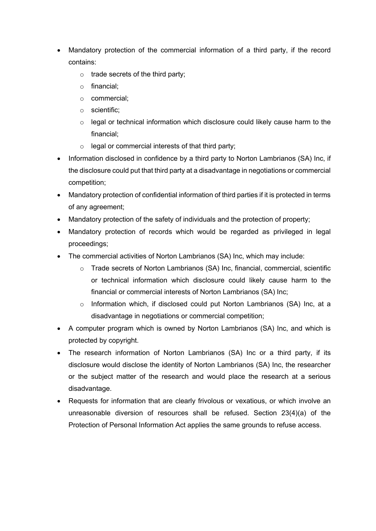- Mandatory protection of the commercial information of a third party, if the record contains:
	- $\circ$  trade secrets of the third party;
	- o financial;
	- o commercial;
	- o scientific;
	- o legal or technical information which disclosure could likely cause harm to the financial;
	- o legal or commercial interests of that third party;
- Information disclosed in confidence by a third party to Norton Lambrianos (SA) Inc, if the disclosure could put that third party at a disadvantage in negotiations or commercial competition;
- Mandatory protection of confidential information of third parties if it is protected in terms of any agreement;
- Mandatory protection of the safety of individuals and the protection of property;
- Mandatory protection of records which would be regarded as privileged in legal proceedings;
- The commercial activities of Norton Lambrianos (SA) Inc, which may include:
	- o Trade secrets of Norton Lambrianos (SA) Inc, financial, commercial, scientific or technical information which disclosure could likely cause harm to the financial or commercial interests of Norton Lambrianos (SA) Inc;
	- $\circ$  Information which, if disclosed could put Norton Lambrianos (SA) Inc, at a disadvantage in negotiations or commercial competition;
- A computer program which is owned by Norton Lambrianos (SA) Inc, and which is protected by copyright.
- The research information of Norton Lambrianos (SA) Inc or a third party, if its disclosure would disclose the identity of Norton Lambrianos (SA) Inc, the researcher or the subject matter of the research and would place the research at a serious disadvantage.
- Requests for information that are clearly frivolous or vexatious, or which involve an unreasonable diversion of resources shall be refused. Section 23(4)(a) of the Protection of Personal Information Act applies the same grounds to refuse access.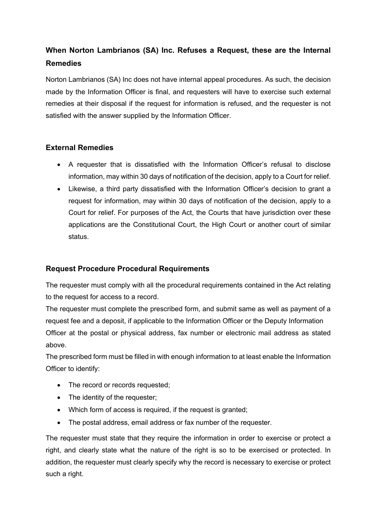# **When Norton Lambrianos (SA) Inc. Refuses a Request, these are the Internal Remedies**

Norton Lambrianos (SA) Inc does not have internal appeal procedures. As such, the decision made by the Information Officer is final, and requesters will have to exercise such external remedies at their disposal if the request for information is refused, and the requester is not satisfied with the answer supplied by the Information Officer.

# **External Remedies**

- A requester that is dissatisfied with the Information Officer's refusal to disclose information, may within 30 days of notification of the decision, apply to a Court for relief.
- Likewise, a third party dissatisfied with the Information Officer's decision to grant a request for information, may within 30 days of notification of the decision, apply to a Court for relief. For purposes of the Act, the Courts that have jurisdiction over these applications are the Constitutional Court, the High Court or another court of similar status.

# **Request Procedure Procedural Requirements**

The requester must comply with all the procedural requirements contained in the Act relating to the request for access to a record.

The requester must complete the prescribed form, and submit same as well as payment of a request fee and a deposit, if applicable to the Information Officer or the Deputy Information Officer at the postal or physical address, fax number or electronic mail address as stated above.

The prescribed form must be filled in with enough information to at least enable the Information Officer to identify:

- The record or records requested;
- The identity of the requester;
- Which form of access is required, if the request is granted;
- The postal address, email address or fax number of the requester.

The requester must state that they require the information in order to exercise or protect a right, and clearly state what the nature of the right is so to be exercised or protected. In addition, the requester must clearly specify why the record is necessary to exercise or protect such a right.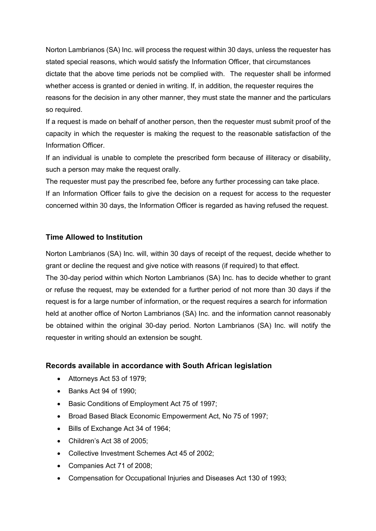Norton Lambrianos (SA) Inc. will process the request within 30 days, unless the requester has stated special reasons, which would satisfy the Information Officer, that circumstances dictate that the above time periods not be complied with. The requester shall be informed whether access is granted or denied in writing. If, in addition, the requester requires the reasons for the decision in any other manner, they must state the manner and the particulars so required.

If a request is made on behalf of another person, then the requester must submit proof of the capacity in which the requester is making the request to the reasonable satisfaction of the Information Officer.

If an individual is unable to complete the prescribed form because of illiteracy or disability, such a person may make the request orally.

The requester must pay the prescribed fee, before any further processing can take place. If an Information Officer fails to give the decision on a request for access to the requester concerned within 30 days, the Information Officer is regarded as having refused the request.

# **Time Allowed to Institution**

Norton Lambrianos (SA) Inc. will, within 30 days of receipt of the request, decide whether to grant or decline the request and give notice with reasons (if required) to that effect.

The 30-day period within which Norton Lambrianos (SA) Inc. has to decide whether to grant or refuse the request, may be extended for a further period of not more than 30 days if the request is for a large number of information, or the request requires a search for information held at another office of Norton Lambrianos (SA) Inc. and the information cannot reasonably be obtained within the original 30-day period. Norton Lambrianos (SA) Inc. will notify the requester in writing should an extension be sought.

### **Records available in accordance with South African legislation**

- Attorneys Act 53 of 1979;
- Banks Act 94 of 1990;
- Basic Conditions of Employment Act 75 of 1997;
- Broad Based Black Economic Empowerment Act, No 75 of 1997;
- Bills of Exchange Act 34 of 1964;
- Children's Act 38 of 2005;
- Collective Investment Schemes Act 45 of 2002;
- Companies Act 71 of 2008;
- Compensation for Occupational Injuries and Diseases Act 130 of 1993;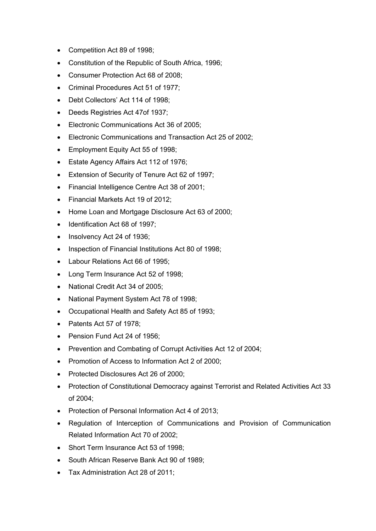- Competition Act 89 of 1998;
- Constitution of the Republic of South Africa, 1996;
- Consumer Protection Act 68 of 2008;
- Criminal Procedures Act 51 of 1977;
- Debt Collectors' Act 114 of 1998;
- Deeds Registries Act 47of 1937;
- Electronic Communications Act 36 of 2005;
- Electronic Communications and Transaction Act 25 of 2002;
- Employment Equity Act 55 of 1998;
- Estate Agency Affairs Act 112 of 1976;
- Extension of Security of Tenure Act 62 of 1997;
- Financial Intelligence Centre Act 38 of 2001;
- Financial Markets Act 19 of 2012;
- Home Loan and Mortgage Disclosure Act 63 of 2000;
- Identification Act 68 of 1997;
- Insolvency Act 24 of 1936;
- Inspection of Financial Institutions Act 80 of 1998;
- Labour Relations Act 66 of 1995;
- Long Term Insurance Act 52 of 1998;
- National Credit Act 34 of 2005;
- National Payment System Act 78 of 1998;
- Occupational Health and Safety Act 85 of 1993;
- Patents Act 57 of 1978;
- Pension Fund Act 24 of 1956;
- Prevention and Combating of Corrupt Activities Act 12 of 2004;
- Promotion of Access to Information Act 2 of 2000;
- Protected Disclosures Act 26 of 2000;
- Protection of Constitutional Democracy against Terrorist and Related Activities Act 33 of 2004;
- Protection of Personal Information Act 4 of 2013;
- Regulation of Interception of Communications and Provision of Communication Related Information Act 70 of 2002;
- Short Term Insurance Act 53 of 1998;
- South African Reserve Bank Act 90 of 1989;
- Tax Administration Act 28 of 2011;